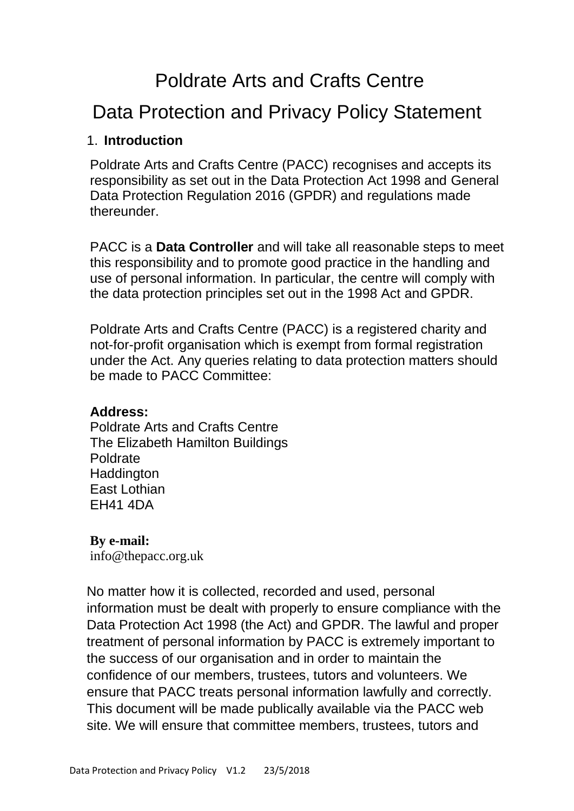# [P](http://www.maxappeal.org.uk/downloads/Max_Appeal_Data_Protection_Policy.pdf#page=1)oldrate Arts and Crafts Centre

## Data Protection and Privacy Policy Statement

#### 1. **Introduction**

Poldrate Arts and Crafts Centre (PACC) recognises and accepts its responsibility as set out in the Data Protection Act 1998 and General Data Protection Regulation 2016 (GPDR) and regulations made thereunder.

PACC is a **Data Controller** and will take all reasonable steps to meet this responsibility and to promote good practice in the handling and use of personal information. In particular, the centre will comply with the data protection principles set out in the 1998 Act and GPDR.

Poldrate Arts and Crafts Centre (PACC) is a registered charity and not-for-profit organisation which is exempt from formal registration under the Act. Any queries relating to data protection matters should be made to PACC Committee:

#### **Address:**

Poldrate Arts and Crafts Centre The Elizabeth Hamilton Buildings Poldrate **Haddington** East Lothian EH41 4DA

#### **By e-mail:**

[info@thepacc.org.uk](mailto:info@thepacc.org.uk)

No matter how it is collected, recorded and used, personal information must be dealt with properly to ensure compliance with the Data Protection Act 1998 (the Act) and GPDR. The lawful and proper treatment of personal information by PACC is extremely important to the success of our organisation and in order to maintain the confidence of our members, trustees, tutors and volunteers. We ensure that PACC treats personal information lawfully and correctly. This document will be made publically available via the PACC web site. We will ensure that committee members, trustees, tutors and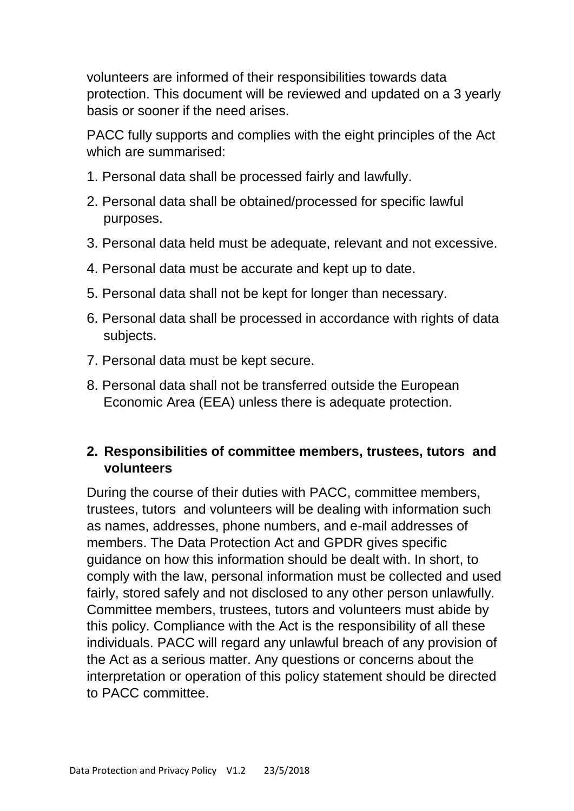volunteers are informed of their responsibilities towards data protection. This document will be reviewed and updated on a 3 yearly basis or sooner if the need arises.

PACC fully supports and complies with the eight principles of the Act which are summarised:

- 1. Personal data shall be processed fairly and lawfully.
- 2. Personal data shall be obtained/processed for specific lawful purposes.
- 3. Personal data held must be adequate, relevant and not excessive.
- 4. Personal data must be accurate and kept up to date.
- 5. Personal data shall not be kept for longer than necessary.
- 6. Personal data shall be processed in accordance with rights of data subjects.
- 7. Personal data must be kept secure.
- 8. Personal data shall not be transferred outside the European Economic Area (EEA) unless there is adequate protection.

#### **2. Responsibilities of committee members, trustees, tutors and volunteers**

During the course of their duties with PACC, committee members, trustees, tutors and volunteers will be dealing with information such as names, addresses, phone numbers, and e-mail addresses of members. The Data Protection Act and GPDR gives specific guidance on how this information should be dealt with. In short, to comply with the law, personal information must be collected and used fairly, stored safely and not disclosed to any other person unlawfully. Committee members, trustees, tutors and volunteers must abide by this policy. Compliance with the Act is the responsibility of all these individuals. PACC will regard any unlawful breach of any provision of the Act as a serious matter. Any questions or concerns about the interpretation or operation of this policy statement should be directed to PACC committee.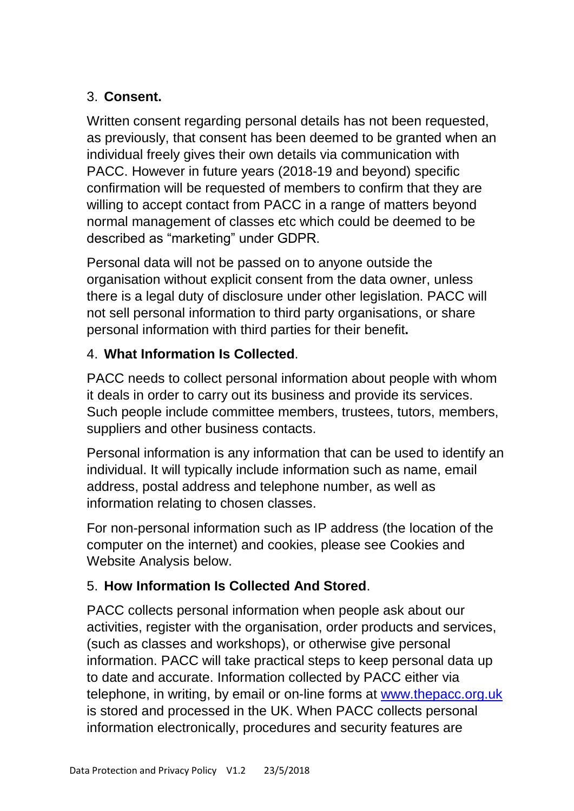## 3. **Consent.**

Written consent regarding personal details has not been requested. as previously, that consent has been deemed to be granted when an individual freely gives their own details via communication with PACC. However in future years (2018-19 and beyond) specific confirmation will be requested of members to confirm that they are willing to accept contact from PACC in a range of matters beyond normal management of classes etc which could be deemed to be described as "marketing" under GDPR.

Personal data will not be passed on to anyone outside the organisation without explicit consent from the data owner, unless there is a legal duty of disclosure under other legislation. PACC will not sell personal information to third party organisations, or share personal information with third parties for their benefit**.** 

## 4. **What Information Is Collected**.

PACC needs to collect personal information about people with whom it deals in order to carry out its business and provide its services. Such people include committee members, trustees, tutors, members, suppliers and other business contacts.

Personal information is any information that can be used to identify an individual. It will typically include information such as name, email address, postal address and telephone number, as well as information relating to chosen classes.

For non-personal information such as IP address (the location of the computer on the internet) and cookies, please see Cookies and Website Analysis below.

## 5. **How Information Is Collected And Stored**.

PACC collects personal information when people ask about our activities, register with the organisation, order products and services, (such as classes and workshops), or otherwise give personal information. PACC will take practical steps to keep personal data up to date and accurate. Information collected by PACC either via telephone, in writing, by email or on-line forms at [www.thepacc.org.uk](http://www.thepacc.org.uk/) is stored and processed in the UK. When PACC collects personal information electronically, procedures and security features are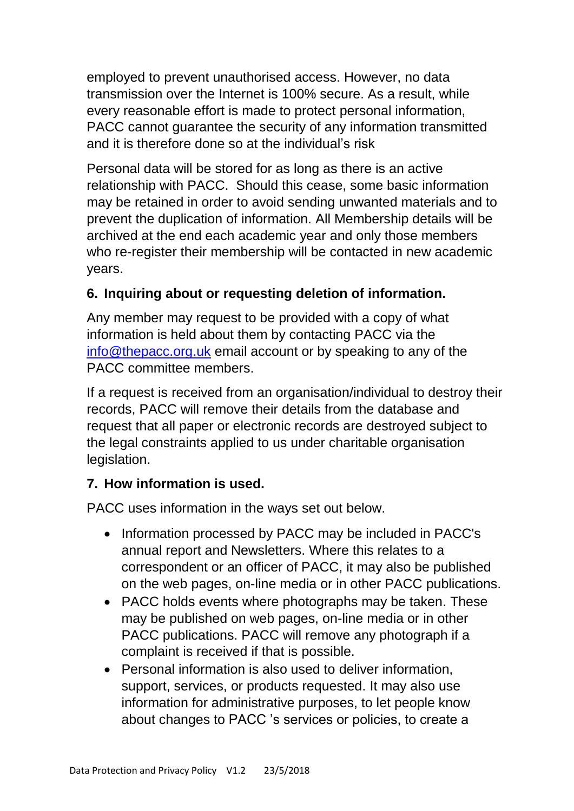employed to prevent unauthorised access. However, no data transmission over the Internet is 100% secure. As a result, while every reasonable effort is made to protect personal information, PACC cannot guarantee the security of any information transmitted and it is therefore done so at the individual's risk

Personal data will be stored for as long as there is an active relationship with PACC. Should this cease, some basic information may be retained in order to avoid sending unwanted materials and to prevent the duplication of information. All Membership details will be archived at the end each academic year and only those members who re-register their membership will be contacted in new academic years.

#### **6. Inquiring about or requesting deletion of information.**

Any member may request to be provided with a copy of what information is held about them by contacting PACC via the [info@thepacc.org.uk](mailto:info@thepacc.org.uk) email account or by speaking to any of the PACC committee members.

If a request is received from an organisation/individual to destroy their records, PACC will remove their details from the database and request that all paper or electronic records are destroyed subject to the legal constraints applied to us under charitable organisation legislation.

#### **7. How information is used.**

PACC uses information in the ways set out below.

- Information processed by PACC may be included in PACC's annual report and Newsletters. Where this relates to a correspondent or an officer of PACC, it may also be published on the web pages, on-line media or in other PACC publications.
- PACC holds events where photographs may be taken. These may be published on web pages, on-line media or in other PACC publications. PACC will remove any photograph if a complaint is received if that is possible.
- Personal information is also used to deliver information. support, services, or products requested. It may also use information for administrative purposes, to let people know about changes to PACC 's services or policies, to create a